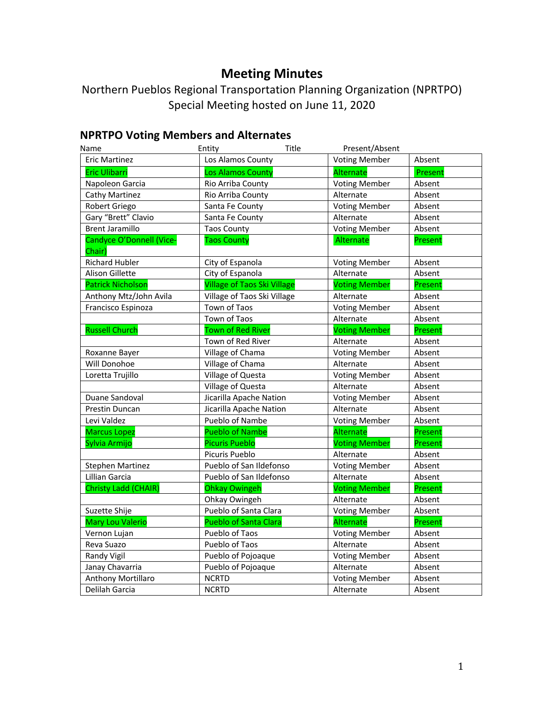# **Meeting Minutes**

Northern Pueblos Regional Transportation Planning Organization (NPRTPO) Special Meeting hosted on June 11, 2020

# **NPRTPO Voting Members and Alternates**

| Name                               | Title<br>Entity                    | Present/Absent       |         |
|------------------------------------|------------------------------------|----------------------|---------|
| <b>Eric Martinez</b>               | Los Alamos County                  | <b>Voting Member</b> | Absent  |
| <b>Eric Ulibarri</b>               | <b>Los Alamos County</b>           | Alternate            | Present |
| Napoleon Garcia                    | Rio Arriba County                  | <b>Voting Member</b> | Absent  |
| Cathy Martinez                     | Rio Arriba County                  | Alternate            | Absent  |
| Robert Griego                      | Santa Fe County                    | <b>Voting Member</b> | Absent  |
| Gary "Brett" Clavio                | Santa Fe County                    | Alternate            | Absent  |
| <b>Brent Jaramillo</b>             | <b>Taos County</b>                 | <b>Voting Member</b> | Absent  |
| Candyce O'Donnell (Vice-<br>Chair) | <b>Taos County</b>                 | Alternate            | Present |
| <b>Richard Hubler</b>              | City of Espanola                   | <b>Voting Member</b> | Absent  |
| <b>Alison Gillette</b>             | City of Espanola                   | Alternate            | Absent  |
| <b>Patrick Nicholson</b>           | <b>Village of Taos Ski Village</b> | <b>Voting Member</b> | Present |
| Anthony Mtz/John Avila             | Village of Taos Ski Village        | Alternate            | Absent  |
| Francisco Espinoza                 | Town of Taos                       | <b>Voting Member</b> | Absent  |
|                                    | Town of Taos                       | Alternate            | Absent  |
| <b>Russell Church</b>              | <b>Town of Red River</b>           | <b>Voting Member</b> | Present |
|                                    | Town of Red River                  | Alternate            | Absent  |
| Roxanne Bayer                      | Village of Chama                   | <b>Voting Member</b> | Absent  |
| Will Donohoe                       | Village of Chama                   | Alternate            | Absent  |
| Loretta Trujillo                   | Village of Questa                  | <b>Voting Member</b> | Absent  |
|                                    | Village of Questa                  | Alternate            | Absent  |
| Duane Sandoval                     | Jicarilla Apache Nation            | <b>Voting Member</b> | Absent  |
| Prestin Duncan                     | Jicarilla Apache Nation            | Alternate            | Absent  |
| Levi Valdez                        | Pueblo of Nambe                    | <b>Voting Member</b> | Absent  |
| <b>Marcus Lopez</b>                | <b>Pueblo of Nambe</b>             | Alternate            | Present |
| Sylvia Armijo                      | <b>Picuris Pueblo</b>              | <b>Voting Member</b> | Present |
|                                    | Picuris Pueblo                     | Alternate            | Absent  |
| <b>Stephen Martinez</b>            | Pueblo of San Ildefonso            | <b>Voting Member</b> | Absent  |
| Lillian Garcia                     | Pueblo of San Ildefonso            | Alternate            | Absent  |
| Christy Ladd (CHAIR)               | <b>Ohkay Owingeh</b>               | <b>Voting Member</b> | Present |
|                                    | Ohkay Owingeh                      | Alternate            | Absent  |
| Suzette Shije                      | Pueblo of Santa Clara              | <b>Voting Member</b> | Absent  |
| <b>Mary Lou Valerio</b>            | <b>Pueblo of Santa Clara</b>       | Alternate            | Present |
| Vernon Lujan                       | Pueblo of Taos                     | <b>Voting Member</b> | Absent  |
| Reva Suazo                         | Pueblo of Taos                     | Alternate            | Absent  |
| Randy Vigil                        | Pueblo of Pojoaque                 | <b>Voting Member</b> | Absent  |
| Janay Chavarria                    | Pueblo of Pojoaque                 | Alternate            | Absent  |
| Anthony Mortillaro                 | <b>NCRTD</b>                       | <b>Voting Member</b> | Absent  |
| Delilah Garcia                     | <b>NCRTD</b>                       | Alternate            | Absent  |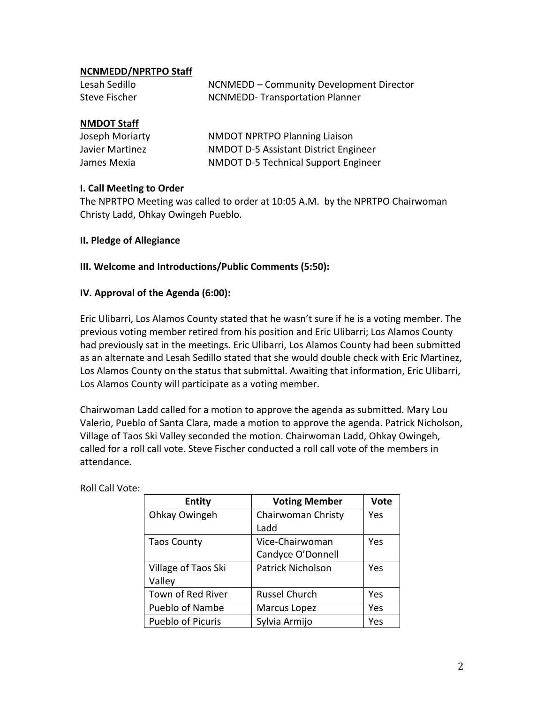## **NCNMEDD/NPRTPO Staff**

| Lesah Sedillo | NCNMEDD - Community Development Director |
|---------------|------------------------------------------|
| Steve Fischer | NCNMEDD-Transportation Planner           |

#### **NMDOT Staff**

| Joseph Moriarty | <b>NMDOT NPRTPO Planning Liaison</b>         |
|-----------------|----------------------------------------------|
| Javier Martinez | <b>NMDOT D-5 Assistant District Engineer</b> |
| James Mexia     | NMDOT D-5 Technical Support Engineer         |

#### **I. Call Meeting to Order**

The NPRTPO Meeting was called to order at 10:05 A.M. by the NPRTPO Chairwoman Christy Ladd, Ohkay Owingeh Pueblo.

#### **II. Pledge of Allegiance**

#### **III. Welcome and Introductions/Public Comments (5:50):**

#### **IV. Approval of the Agenda (6:00):**

Eric Ulibarri, Los Alamos County stated that he wasn't sure if he is a voting member. The previous voting member retired from his position and Eric Ulibarri; Los Alamos County had previously sat in the meetings. Eric Ulibarri, Los Alamos County had been submitted as an alternate and Lesah Sedillo stated that she would double check with Eric Martinez, Los Alamos County on the status that submittal. Awaiting that information, Eric Ulibarri, Los Alamos County will participate as a voting member.

Chairwoman Ladd called for a motion to approve the agenda as submitted. Mary Lou Valerio, Pueblo of Santa Clara, made a motion to approve the agenda. Patrick Nicholson, Village of Taos Ski Valley seconded the motion. Chairwoman Ladd, Ohkay Owingeh, called for a roll call vote. Steve Fischer conducted a roll call vote of the members in attendance.

|  | <b>Roll Call Vote:</b> |  |
|--|------------------------|--|
|  |                        |  |

| <b>Entity</b>            | <b>Voting Member</b>     | <b>Vote</b> |
|--------------------------|--------------------------|-------------|
| Ohkay Owingeh            | Chairwoman Christy       | Yes         |
|                          | Ladd                     |             |
| <b>Taos County</b>       | Vice-Chairwoman          | Yes         |
|                          | Candyce O'Donnell        |             |
| Village of Taos Ski      | <b>Patrick Nicholson</b> | Yes         |
| Valley                   |                          |             |
| Town of Red River        | <b>Russel Church</b>     | Yes         |
| <b>Pueblo of Nambe</b>   | Marcus Lopez             | Yes         |
| <b>Pueblo of Picuris</b> | Sylvia Armijo            | Yes         |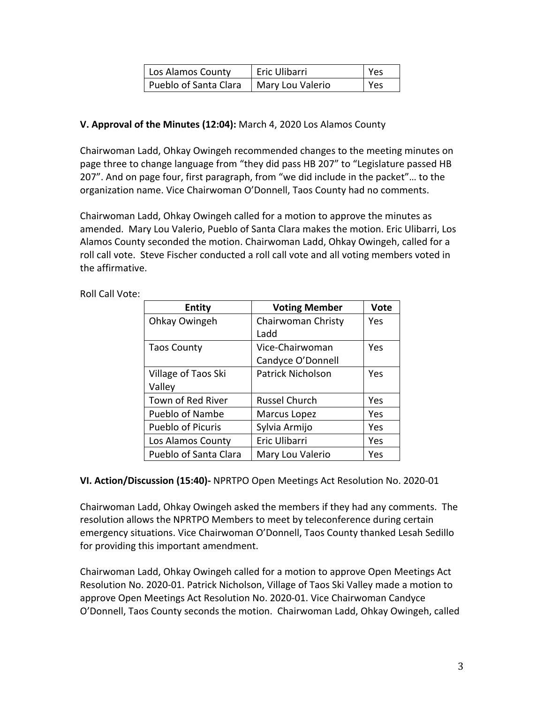| Los Alamos County     | Eric Ulibarri    | l Yes |
|-----------------------|------------------|-------|
| Pueblo of Santa Clara | Mary Lou Valerio | l Yes |

# **V. Approval of the Minutes (12:04):** March 4, 2020 Los Alamos County

Chairwoman Ladd, Ohkay Owingeh recommended changes to the meeting minutes on page three to change language from "they did pass HB 207" to "Legislature passed HB 207". And on page four, first paragraph, from "we did include in the packet"… to the organization name. Vice Chairwoman O'Donnell, Taos County had no comments.

Chairwoman Ladd, Ohkay Owingeh called for a motion to approve the minutes as amended. Mary Lou Valerio, Pueblo of Santa Clara makes the motion. Eric Ulibarri, Los Alamos County seconded the motion. Chairwoman Ladd, Ohkay Owingeh, called for a roll call vote. Steve Fischer conducted a roll call vote and all voting members voted in the affirmative.

| <b>Entity</b>            | <b>Voting Member</b> | Vote |
|--------------------------|----------------------|------|
| Ohkay Owingeh            | Chairwoman Christy   | Yes  |
|                          | Ladd                 |      |
| <b>Taos County</b>       | Vice-Chairwoman      | Yes  |
|                          | Candyce O'Donnell    |      |
| Village of Taos Ski      | Patrick Nicholson    | Yes  |
| Valley                   |                      |      |
| Town of Red River        | <b>Russel Church</b> | Yes  |
| Pueblo of Nambe          | Marcus Lopez         | Yes  |
| <b>Pueblo of Picuris</b> | Sylvia Armijo        | Yes  |
| Los Alamos County        | Eric Ulibarri        | Yes  |
| Pueblo of Santa Clara    | Mary Lou Valerio     | Yes  |

Roll Call Vote:

## **VI. Action/Discussion (15:40)-** NPRTPO Open Meetings Act Resolution No. 2020-01

Chairwoman Ladd, Ohkay Owingeh asked the members if they had any comments. The resolution allows the NPRTPO Members to meet by teleconference during certain emergency situations. Vice Chairwoman O'Donnell, Taos County thanked Lesah Sedillo for providing this important amendment.

Chairwoman Ladd, Ohkay Owingeh called for a motion to approve Open Meetings Act Resolution No. 2020-01. Patrick Nicholson, Village of Taos Ski Valley made a motion to approve Open Meetings Act Resolution No. 2020-01. Vice Chairwoman Candyce O'Donnell, Taos County seconds the motion. Chairwoman Ladd, Ohkay Owingeh, called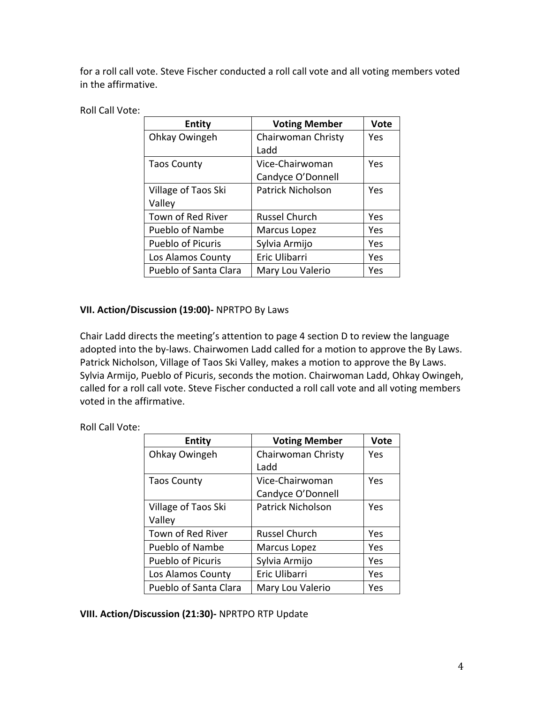for a roll call vote. Steve Fischer conducted a roll call vote and all voting members voted in the affirmative.

## Roll Call Vote:

| <b>Entity</b>            | <b>Voting Member</b> | Vote |
|--------------------------|----------------------|------|
| Ohkay Owingeh            | Chairwoman Christy   | Yes  |
|                          | Ladd                 |      |
| <b>Taos County</b>       | Vice-Chairwoman      | Yes  |
|                          | Candyce O'Donnell    |      |
| Village of Taos Ski      | Patrick Nicholson    | Yes  |
| Valley                   |                      |      |
| Town of Red River        | <b>Russel Church</b> | Yes  |
| Pueblo of Nambe          | Marcus Lopez         | Yes  |
| <b>Pueblo of Picuris</b> | Sylvia Armijo        | Yes  |
| Los Alamos County        | Eric Ulibarri        | Yes  |
| Pueblo of Santa Clara    | Mary Lou Valerio     | Yes  |

# **VII. Action/Discussion (19:00)-** NPRTPO By Laws

Chair Ladd directs the meeting's attention to page 4 section D to review the language adopted into the by-laws. Chairwomen Ladd called for a motion to approve the By Laws. Patrick Nicholson, Village of Taos Ski Valley, makes a motion to approve the By Laws. Sylvia Armijo, Pueblo of Picuris, seconds the motion. Chairwoman Ladd, Ohkay Owingeh, called for a roll call vote. Steve Fischer conducted a roll call vote and all voting members voted in the affirmative.

## Roll Call Vote:

| <b>Entity</b>            | <b>Voting Member</b>     | Vote |
|--------------------------|--------------------------|------|
| Ohkay Owingeh            | Chairwoman Christy       | Yes  |
|                          | Ladd                     |      |
| <b>Taos County</b>       | Vice-Chairwoman          | Yes  |
|                          | Candyce O'Donnell        |      |
| Village of Taos Ski      | <b>Patrick Nicholson</b> | Yes  |
| Valley                   |                          |      |
| Town of Red River        | <b>Russel Church</b>     | Yes  |
| <b>Pueblo of Nambe</b>   | Marcus Lopez             | Yes  |
| <b>Pueblo of Picuris</b> | Sylvia Armijo            | Yes  |
| Los Alamos County        | Eric Ulibarri            | Yes  |
| Pueblo of Santa Clara    | Mary Lou Valerio         | Yes  |

**VIII. Action/Discussion (21:30)-** NPRTPO RTP Update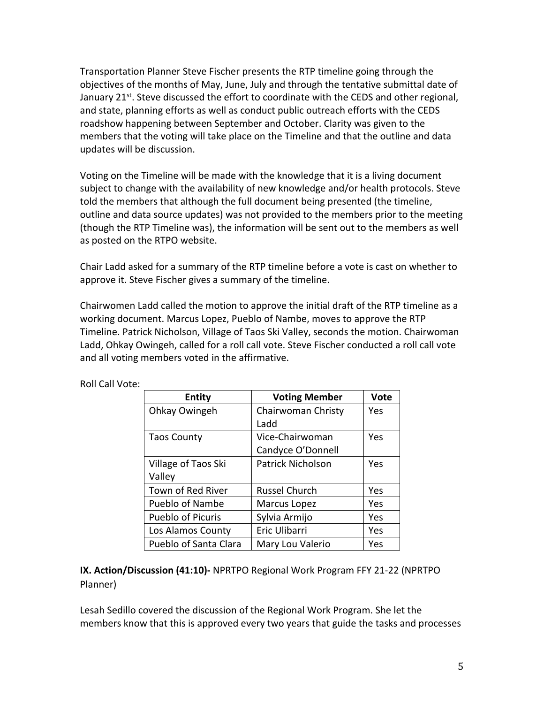Transportation Planner Steve Fischer presents the RTP timeline going through the objectives of the months of May, June, July and through the tentative submittal date of January 21<sup>st</sup>. Steve discussed the effort to coordinate with the CEDS and other regional, and state, planning efforts as well as conduct public outreach efforts with the CEDS roadshow happening between September and October. Clarity was given to the members that the voting will take place on the Timeline and that the outline and data updates will be discussion.

Voting on the Timeline will be made with the knowledge that it is a living document subject to change with the availability of new knowledge and/or health protocols. Steve told the members that although the full document being presented (the timeline, outline and data source updates) was not provided to the members prior to the meeting (though the RTP Timeline was), the information will be sent out to the members as well as posted on the RTPO website.

Chair Ladd asked for a summary of the RTP timeline before a vote is cast on whether to approve it. Steve Fischer gives a summary of the timeline.

Chairwomen Ladd called the motion to approve the initial draft of the RTP timeline as a working document. Marcus Lopez, Pueblo of Nambe, moves to approve the RTP Timeline. Patrick Nicholson, Village of Taos Ski Valley, seconds the motion. Chairwoman Ladd, Ohkay Owingeh, called for a roll call vote. Steve Fischer conducted a roll call vote and all voting members voted in the affirmative.

| <b>Voting Member</b>     | <b>Vote</b> |
|--------------------------|-------------|
| Chairwoman Christy       | Yes         |
| Ladd                     |             |
| Vice-Chairwoman          | Yes         |
| Candyce O'Donnell        |             |
| <b>Patrick Nicholson</b> | Yes         |
|                          |             |
| <b>Russel Church</b>     | Yes         |
| Marcus Lopez             | Yes         |
| Sylvia Armijo            | Yes         |
| Eric Ulibarri            | Yes         |
| Mary Lou Valerio         | Yes         |
|                          |             |

Roll Call Vote:

**IX. Action/Discussion (41:10)-** NPRTPO Regional Work Program FFY 21-22 (NPRTPO Planner)

Lesah Sedillo covered the discussion of the Regional Work Program. She let the members know that this is approved every two years that guide the tasks and processes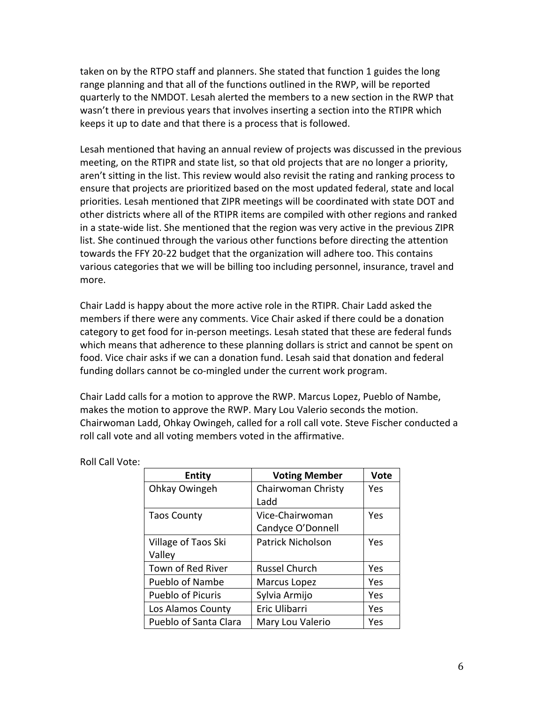taken on by the RTPO staff and planners. She stated that function 1 guides the long range planning and that all of the functions outlined in the RWP, will be reported quarterly to the NMDOT. Lesah alerted the members to a new section in the RWP that wasn't there in previous years that involves inserting a section into the RTIPR which keeps it up to date and that there is a process that is followed.

Lesah mentioned that having an annual review of projects was discussed in the previous meeting, on the RTIPR and state list, so that old projects that are no longer a priority, aren't sitting in the list. This review would also revisit the rating and ranking process to ensure that projects are prioritized based on the most updated federal, state and local priorities. Lesah mentioned that ZIPR meetings will be coordinated with state DOT and other districts where all of the RTIPR items are compiled with other regions and ranked in a state-wide list. She mentioned that the region was very active in the previous ZIPR list. She continued through the various other functions before directing the attention towards the FFY 20-22 budget that the organization will adhere too. This contains various categories that we will be billing too including personnel, insurance, travel and more.

Chair Ladd is happy about the more active role in the RTIPR. Chair Ladd asked the members if there were any comments. Vice Chair asked if there could be a donation category to get food for in-person meetings. Lesah stated that these are federal funds which means that adherence to these planning dollars is strict and cannot be spent on food. Vice chair asks if we can a donation fund. Lesah said that donation and federal funding dollars cannot be co-mingled under the current work program.

Chair Ladd calls for a motion to approve the RWP. Marcus Lopez, Pueblo of Nambe, makes the motion to approve the RWP. Mary Lou Valerio seconds the motion. Chairwoman Ladd, Ohkay Owingeh, called for a roll call vote. Steve Fischer conducted a roll call vote and all voting members voted in the affirmative.

| <b>Entity</b>            | <b>Voting Member</b>     | <b>Vote</b> |
|--------------------------|--------------------------|-------------|
| Ohkay Owingeh            | Chairwoman Christy       | Yes         |
|                          | Ladd                     |             |
| <b>Taos County</b>       | Vice-Chairwoman          | Yes         |
|                          | Candyce O'Donnell        |             |
| Village of Taos Ski      | <b>Patrick Nicholson</b> | Yes         |
| Valley                   |                          |             |
| Town of Red River        | <b>Russel Church</b>     | Yes         |
| Pueblo of Nambe          | Marcus Lopez             | Yes         |
| <b>Pueblo of Picuris</b> | Sylvia Armijo            | Yes         |
| Los Alamos County        | Eric Ulibarri            | Yes         |
| Pueblo of Santa Clara    | Mary Lou Valerio         | Yes         |

Roll Call Vote: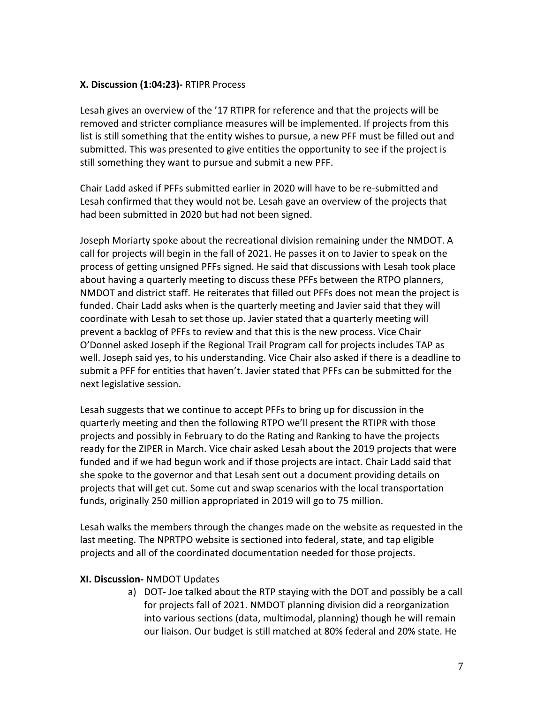## **X. Discussion (1:04:23)-** RTIPR Process

Lesah gives an overview of the '17 RTIPR for reference and that the projects will be removed and stricter compliance measures will be implemented. If projects from this list is still something that the entity wishes to pursue, a new PFF must be filled out and submitted. This was presented to give entities the opportunity to see if the project is still something they want to pursue and submit a new PFF.

Chair Ladd asked if PFFs submitted earlier in 2020 will have to be re-submitted and Lesah confirmed that they would not be. Lesah gave an overview of the projects that had been submitted in 2020 but had not been signed.

Joseph Moriarty spoke about the recreational division remaining under the NMDOT. A call for projects will begin in the fall of 2021. He passes it on to Javier to speak on the process of getting unsigned PFFs signed. He said that discussions with Lesah took place about having a quarterly meeting to discuss these PFFs between the RTPO planners, NMDOT and district staff. He reiterates that filled out PFFs does not mean the project is funded. Chair Ladd asks when is the quarterly meeting and Javier said that they will coordinate with Lesah to set those up. Javier stated that a quarterly meeting will prevent a backlog of PFFs to review and that this is the new process. Vice Chair O'Donnel asked Joseph if the Regional Trail Program call for projects includes TAP as well. Joseph said yes, to his understanding. Vice Chair also asked if there is a deadline to submit a PFF for entities that haven't. Javier stated that PFFs can be submitted for the next legislative session.

Lesah suggests that we continue to accept PFFs to bring up for discussion in the quarterly meeting and then the following RTPO we'll present the RTIPR with those projects and possibly in February to do the Rating and Ranking to have the projects ready for the ZIPER in March. Vice chair asked Lesah about the 2019 projects that were funded and if we had begun work and if those projects are intact. Chair Ladd said that she spoke to the governor and that Lesah sent out a document providing details on projects that will get cut. Some cut and swap scenarios with the local transportation funds, originally 250 million appropriated in 2019 will go to 75 million.

Lesah walks the members through the changes made on the website as requested in the last meeting. The NPRTPO website is sectioned into federal, state, and tap eligible projects and all of the coordinated documentation needed for those projects.

#### **XI. Discussion-** NMDOT Updates

a) DOT- Joe talked about the RTP staying with the DOT and possibly be a call for projects fall of 2021. NMDOT planning division did a reorganization into various sections (data, multimodal, planning) though he will remain our liaison. Our budget is still matched at 80% federal and 20% state. He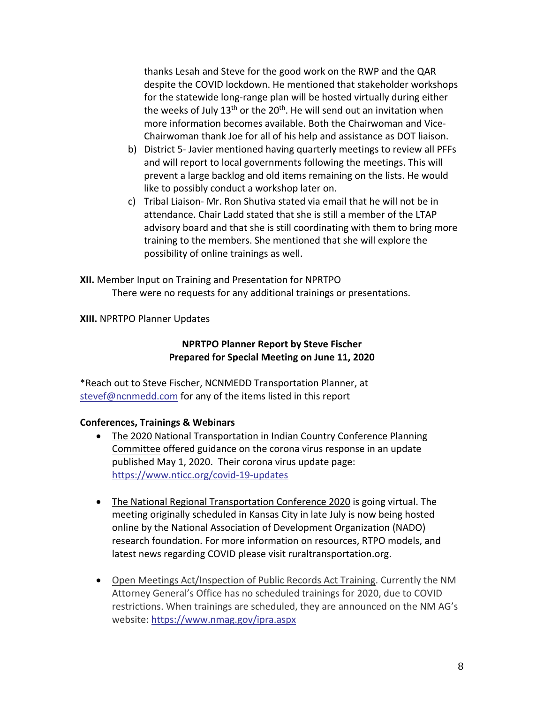thanks Lesah and Steve for the good work on the RWP and the QAR despite the COVID lockdown. He mentioned that stakeholder workshops for the statewide long-range plan will be hosted virtually during either the weeks of July  $13<sup>th</sup>$  or the  $20<sup>th</sup>$ . He will send out an invitation when more information becomes available. Both the Chairwoman and Vice-Chairwoman thank Joe for all of his help and assistance as DOT liaison.

- b) District 5- Javier mentioned having quarterly meetings to review all PFFs and will report to local governments following the meetings. This will prevent a large backlog and old items remaining on the lists. He would like to possibly conduct a workshop later on.
- c) Tribal Liaison- Mr. Ron Shutiva stated via email that he will not be in attendance. Chair Ladd stated that she is still a member of the LTAP advisory board and that she is still coordinating with them to bring more training to the members. She mentioned that she will explore the possibility of online trainings as well.

**XII.** Member Input on Training and Presentation for NPRTPO There were no requests for any additional trainings or presentations.

**XIII.** NPRTPO Planner Updates

# **NPRTPO Planner Report by Steve Fischer Prepared for Special Meeting on June 11, 2020**

\*Reach out to Steve Fischer, NCNMEDD Transportation Planner, at stevef@ncnmedd.com for any of the items listed in this report

## **Conferences, Trainings & Webinars**

- The 2020 National Transportation in Indian Country Conference Planning Committee offered guidance on the corona virus response in an update published May 1, 2020. Their corona virus update page: https://www.nticc.org/covid-19-updates
- The National Regional Transportation Conference 2020 is going virtual. The meeting originally scheduled in Kansas City in late July is now being hosted online by the National Association of Development Organization (NADO) research foundation. For more information on resources, RTPO models, and latest news regarding COVID please visit ruraltransportation.org.
- Open Meetings Act/Inspection of Public Records Act Training. Currently the NM Attorney General's Office has no scheduled trainings for 2020, due to COVID restrictions. When trainings are scheduled, they are announced on the NM AG's website: https://www.nmag.gov/ipra.aspx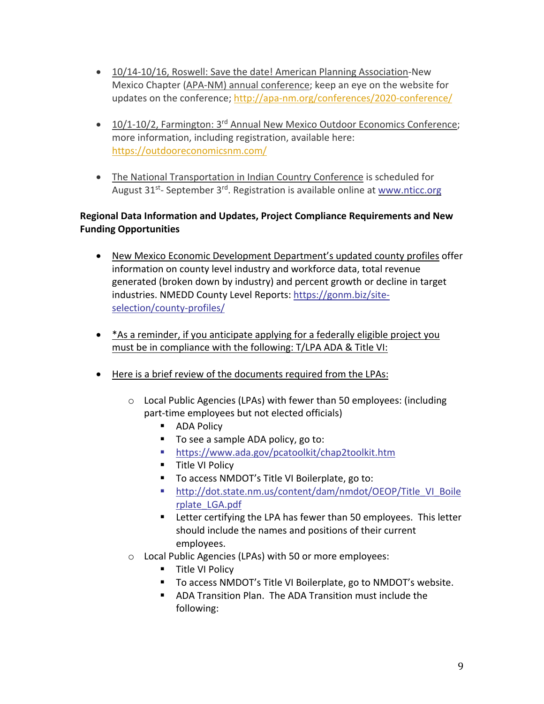- 10/14-10/16, Roswell: Save the date! American Planning Association-New Mexico Chapter (APA-NM) annual conference; keep an eye on the website for updates on the conference; http://apa-nm.org/conferences/2020-conference/
- $10/1$ -10/2, Farmington: 3<sup>rd</sup> Annual New Mexico Outdoor Economics Conference; more information, including registration, available here: https://outdooreconomicsnm.com/
- The National Transportation in Indian Country Conference is scheduled for August  $31^{st}$ - September  $3^{rd}$ . Registration is available online at www.nticc.org

# **Regional Data Information and Updates, Project Compliance Requirements and New Funding Opportunities**

- New Mexico Economic Development Department's updated county profiles offer information on county level industry and workforce data, total revenue generated (broken down by industry) and percent growth or decline in target industries. NMEDD County Level Reports: https://gonm.biz/siteselection/county-profiles/
- \*As a reminder, if you anticipate applying for a federally eligible project you must be in compliance with the following: T/LPA ADA & Title VI:
- Here is a brief review of the documents required from the LPAs:
	- o Local Public Agencies (LPAs) with fewer than 50 employees: (including part-time employees but not elected officials)
		- ADA Policy
		- To see a sample ADA policy, go to:
		- https://www.ada.gov/pcatoolkit/chap2toolkit.htm
		- Title VI Policy
		- To access NMDOT's Title VI Boilerplate, go to:
		- § http://dot.state.nm.us/content/dam/nmdot/OEOP/Title\_VI\_Boile rplate\_LGA.pdf
		- Letter certifying the LPA has fewer than 50 employees. This letter should include the names and positions of their current employees.
	- o Local Public Agencies (LPAs) with 50 or more employees:
		- Title VI Policy
		- To access NMDOT's Title VI Boilerplate, go to NMDOT's website.
		- ADA Transition Plan. The ADA Transition must include the following: